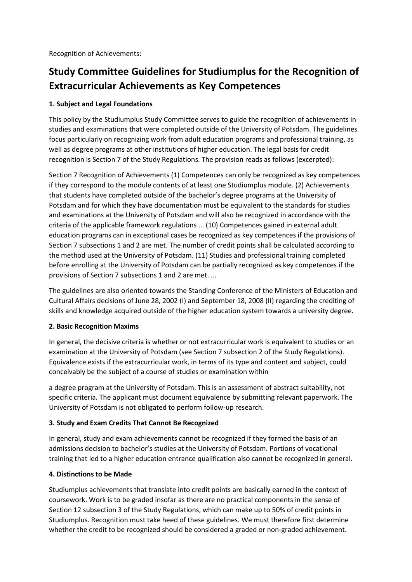Recognition of Achievements:

# **Study Committee Guidelines for Studiumplus for the Recognition of Extracurricular Achievements as Key Competences**

#### **1. Subject and Legal Foundations**

This policy by the Studiumplus Study Committee serves to guide the recognition of achievements in studies and examinations that were completed outside of the University of Potsdam. The guidelines focus particularly on recognizing work from adult education programs and professional training, as well as degree programs at other institutions of higher education. The legal basis for credit recognition is Section 7 of the Study Regulations. The provision reads as follows (excerpted):

Section 7 Recognition of Achievements (1) Competences can only be recognized as key competences if they correspond to the module contents of at least one Studiumplus module. (2) Achievements that students have completed outside of the bachelor's degree programs at the University of Potsdam and for which they have documentation must be equivalent to the standards for studies and examinations at the University of Potsdam and will also be recognized in accordance with the criteria of the applicable framework regulations ... (10) Competences gained in external adult education programs can in exceptional cases be recognized as key competences if the provisions of Section 7 subsections 1 and 2 are met. The number of credit points shall be calculated according to the method used at the University of Potsdam. (11) Studies and professional training completed before enrolling at the University of Potsdam can be partially recognized as key competences if the provisions of Section 7 subsections 1 and 2 are met. ...

The guidelines are also oriented towards the Standing Conference of the Ministers of Education and Cultural Affairs decisions of June 28, 2002 (I) and September 18, 2008 (II) regarding the crediting of skills and knowledge acquired outside of the higher education system towards a university degree.

#### **2. Basic Recognition Maxims**

In general, the decisive criteria is whether or not extracurricular work is equivalent to studies or an examination at the University of Potsdam (see Section 7 subsection 2 of the Study Regulations). Equivalence exists if the extracurricular work, in terms of its type and content and subject, could conceivably be the subject of a course of studies or examination within

a degree program at the University of Potsdam. This is an assessment of abstract suitability, not specific criteria. The applicant must document equivalence by submitting relevant paperwork. The University of Potsdam is not obligated to perform follow-up research.

## **3. Study and Exam Credits That Cannot Be Recognized**

In general, study and exam achievements cannot be recognized if they formed the basis of an admissions decision to bachelor's studies at the University of Potsdam. Portions of vocational training that led to a higher education entrance qualification also cannot be recognized in general.

#### **4. Distinctions to be Made**

Studiumplus achievements that translate into credit points are basically earned in the context of coursework. Work is to be graded insofar as there are no practical components in the sense of Section 12 subsection 3 of the Study Regulations, which can make up to 50% of credit points in Studiumplus. Recognition must take heed of these guidelines. We must therefore first determine whether the credit to be recognized should be considered a graded or non-graded achievement.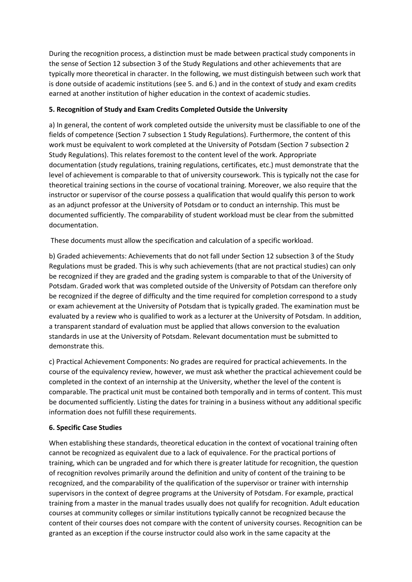During the recognition process, a distinction must be made between practical study components in the sense of Section 12 subsection 3 of the Study Regulations and other achievements that are typically more theoretical in character. In the following, we must distinguish between such work that is done outside of academic institutions (see 5. and 6.) and in the context of study and exam credits earned at another institution of higher education in the context of academic studies.

### **5. Recognition of Study and Exam Credits Completed Outside the University**

a) In general, the content of work completed outside the university must be classifiable to one of the fields of competence (Section 7 subsection 1 Study Regulations). Furthermore, the content of this work must be equivalent to work completed at the University of Potsdam (Section 7 subsection 2 Study Regulations). This relates foremost to the content level of the work. Appropriate documentation (study regulations, training regulations, certificates, etc.) must demonstrate that the level of achievement is comparable to that of university coursework. This is typically not the case for theoretical training sections in the course of vocational training. Moreover, we also require that the instructor or supervisor of the course possess a qualification that would qualify this person to work as an adjunct professor at the University of Potsdam or to conduct an internship. This must be documented sufficiently. The comparability of student workload must be clear from the submitted documentation.

These documents must allow the specification and calculation of a specific workload.

b) Graded achievements: Achievements that do not fall under Section 12 subsection 3 of the Study Regulations must be graded. This is why such achievements (that are not practical studies) can only be recognized if they are graded and the grading system is comparable to that of the University of Potsdam. Graded work that was completed outside of the University of Potsdam can therefore only be recognized if the degree of difficulty and the time required for completion correspond to a study or exam achievement at the University of Potsdam that is typically graded. The examination must be evaluated by a review who is qualified to work as a lecturer at the University of Potsdam. In addition, a transparent standard of evaluation must be applied that allows conversion to the evaluation standards in use at the University of Potsdam. Relevant documentation must be submitted to demonstrate this.

c) Practical Achievement Components: No grades are required for practical achievements. In the course of the equivalency review, however, we must ask whether the practical achievement could be completed in the context of an internship at the University, whether the level of the content is comparable. The practical unit must be contained both temporally and in terms of content. This must be documented sufficiently. Listing the dates for training in a business without any additional specific information does not fulfill these requirements.

## **6. Specific Case Studies**

When establishing these standards, theoretical education in the context of vocational training often cannot be recognized as equivalent due to a lack of equivalence. For the practical portions of training, which can be ungraded and for which there is greater latitude for recognition, the question of recognition revolves primarily around the definition and unity of content of the training to be recognized, and the comparability of the qualification of the supervisor or trainer with internship supervisors in the context of degree programs at the University of Potsdam. For example, practical training from a master in the manual trades usually does not qualify for recognition. Adult education courses at community colleges or similar institutions typically cannot be recognized because the content of their courses does not compare with the content of university courses. Recognition can be granted as an exception if the course instructor could also work in the same capacity at the